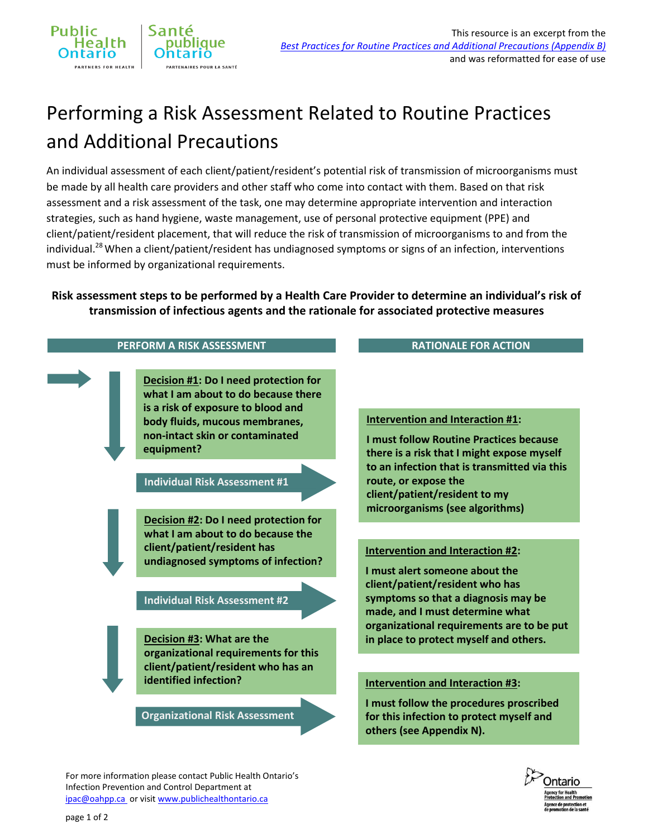## Performing a Risk Assessment Related to Routine Practices and Additional Precautions

An individual assessment of each client/patient/resident's potential risk of transmission of microorganisms must be made by all health care providers and other staff who come into contact with them. Based on that risk assessment and a risk assessment of the task, one may determine appropriate intervention and interaction strategies, such as hand hygiene, waste management, use of personal protective equipment (PPE) and client/patient/resident placement, that will reduce the risk of transmission of microorganisms to and from the individual.<sup>28</sup> When a client/patient/resident has undiagnosed symptoms or signs of an infection, interventions must be informed by organizational requirements.

**Risk assessment steps to be performed by a Health Care Provider to determine an individual's risk of transmission of infectious agents and the rationale for associated protective measures**



For more information please contact Public Health Ontario's Infection Prevention and Control Department at [ipac@oahpp.ca](mailto:ipac@oahpp.ca) or visi[t www.publichealthontario.ca](http://www.publichealthontario.ca/)

## page 1 of 2

Public

**Health** 

ntario **IRTNERS FOR HEALTH**  Santé

publique

**ARTENAIRES POUR LA SANTÉ**